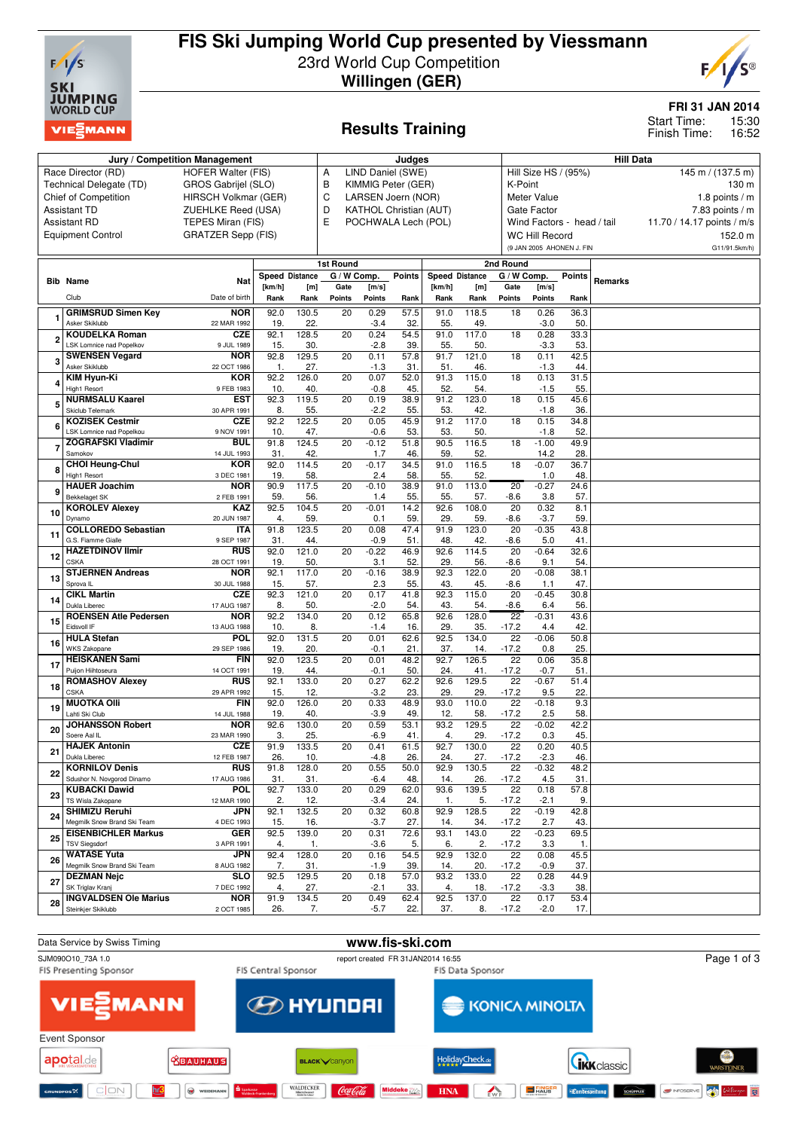

# **FIS Ski Jumping World Cup presented by Viessmann** 23rd World Cup Competition **Willingen (GER)**



**FRI 31 JAN 2014**

15:30 16:52 Start Time: Finish Time:

# **Results Training**

|    | Jury / Competition Management                             |                           | Judges                |              |                                    |                |                    |                       | <b>Hill Data</b> |                            |                                           |                 |         |                            |  |  |  |
|----|-----------------------------------------------------------|---------------------------|-----------------------|--------------|------------------------------------|----------------|--------------------|-----------------------|------------------|----------------------------|-------------------------------------------|-----------------|---------|----------------------------|--|--|--|
|    | Race Director (RD)                                        | <b>HOFER Walter (FIS)</b> |                       |              | LIND Daniel (SWE)<br>Α             |                |                    |                       |                  |                            | Hill Size HS / (95%)<br>145 m / (137.5 m) |                 |         |                            |  |  |  |
|    | Technical Delegate (TD)                                   | GROS Gabrijel (SLO)       |                       |              | В                                  |                | KIMMIG Peter (GER) |                       |                  |                            | K-Point<br>130 m                          |                 |         |                            |  |  |  |
|    | <b>Chief of Competition</b>                               | HIRSCH Volkmar (GER)      |                       |              | C<br>LARSEN Joern (NOR)            |                |                    |                       |                  |                            | Meter Value                               | 1.8 points $/m$ |         |                            |  |  |  |
|    | <b>Assistant TD</b>                                       | ZUEHLKE Reed (USA)        |                       |              | D<br><b>KATHOL Christian (AUT)</b> |                |                    |                       |                  |                            | Gate Factor<br>$7.83$ points / m          |                 |         |                            |  |  |  |
|    | <b>Assistant RD</b>                                       | TEPES Miran (FIS)         |                       |              | Ε<br>POCHWALA Lech (POL)           |                |                    |                       |                  |                            | Wind Factors - head / tail                |                 |         | 11.70 / 14.17 points / m/s |  |  |  |
|    | <b>Equipment Control</b>                                  | <b>GRATZER Sepp (FIS)</b> |                       |              |                                    |                |                    |                       |                  |                            | <b>WC Hill Record</b>                     |                 |         | 152.0 m                    |  |  |  |
|    |                                                           |                           |                       |              |                                    |                |                    |                       |                  |                            | (9 JAN 2005 AHONEN J. FIN                 |                 |         | G11/91.5km/h)              |  |  |  |
|    |                                                           |                           |                       |              | 1st Round                          |                |                    |                       |                  | 2nd Round                  |                                           |                 |         |                            |  |  |  |
|    |                                                           |                           | <b>Speed Distance</b> |              | G / W Comp.                        |                | <b>Points</b>      | <b>Speed Distance</b> |                  | G / W Comp.                |                                           | <b>Points</b>   |         |                            |  |  |  |
|    | <b>Bib Name</b>                                           | Nat                       | [km/h]                | [m]          | Gate                               | [m/s]          |                    | [km/h]                | [m]              | Gate                       | [m/s]                                     |                 | Remarks |                            |  |  |  |
|    | Club                                                      | Date of birth             | Rank                  | Rank         | Points                             | Points         | Rank               | Rank                  | Rank             | Points                     | Points                                    | Rank            |         |                            |  |  |  |
|    | <b>GRIMSRUD Simen Key</b>                                 | <b>NOR</b>                | 92.0                  | 130.5        | 20                                 | 0.29           | 57.5               | 91.0                  | 118.5            | 18                         | 0.26                                      | 36.3            |         |                            |  |  |  |
|    | Asker Skiklubb                                            | 22 MAR 1992               | 19.                   | 22.          |                                    | $-3.4$         | 32                 | 55.                   | 49.              |                            | $-3.0$                                    | 50              |         |                            |  |  |  |
|    | <b>KOUDELKA Roman</b>                                     | <b>CZE</b>                | 92.1                  | 128.5        | $\overline{20}$                    | 0.24           | 54.5               | 91.0                  | 117.0            | 18                         | 0.28                                      | 33.3            |         |                            |  |  |  |
|    | LSK Lomnice nad Popelkov                                  | 9 JUL 1989                | 15.                   | 30.          |                                    | $-2.8$         | 39.                | 55.                   | 50.              |                            | $-3.3$                                    | 53.             |         |                            |  |  |  |
|    | <b>SWENSEN Vegard</b>                                     | <b>NOR</b>                | 92.8                  | 129.5        | 20                                 | 0.11           | 57.8               | 91.7                  | 121.0            | 18                         | 0.11                                      | 42.5            |         |                            |  |  |  |
|    | Asker Skiklubb                                            | 22 OCT 1986               | 1.                    | 27.          |                                    | $-1.3$         | 31.                | 51.                   | 46.              |                            | $-1.3$                                    | 44.             |         |                            |  |  |  |
|    | KIM Hyun-Ki                                               | <b>KOR</b>                | 92.2                  | 126.0        | 20                                 | 0.07           | 52.0               | 91.3                  | 115.0            | 18                         | 0.13                                      | 31.5            |         |                            |  |  |  |
|    | High1 Resort                                              | 9 FEB 1983                | 10.                   | 40.          |                                    | $-0.8$         | 45.                | 52.                   | 54.              |                            | $-1.5$                                    | 55.             |         |                            |  |  |  |
| 5  | <b>NURMSALU Kaarel</b><br>Skiclub Telemark                | <b>EST</b><br>30 APR 1991 | 92.3<br>8.            | 119.5<br>55. | 20                                 | 0.19<br>$-2.2$ | 38.9<br>55.        | 91.2<br>53.           | 123.0<br>42.     | 18                         | 0.15<br>$-1.8$                            | 45.6<br>36.     |         |                            |  |  |  |
|    | <b>KOZISEK Cestmir</b>                                    | <b>CZE</b>                | 92.2                  | 122.5        | 20                                 | 0.05           | 45.9               | 91.2                  | 117.0            | 18                         | 0.15                                      | 34.8            |         |                            |  |  |  |
| Е  | LSK Lomnice nad Popelkou                                  | 9 NOV 1991                | 10.                   | 47.          |                                    | $-0.6$         | 53.                | 53.                   | 50.              |                            | $-1.8$                                    | 52.             |         |                            |  |  |  |
|    | <b>ZOGRAFSKI Vladimir</b>                                 | <b>BUL</b>                | 91.8                  | 124.5        | $\overline{20}$                    | $-0.12$        | 51.8               | 90.5                  | 116.5            | 18                         | $-1.00$                                   | 49.9            |         |                            |  |  |  |
|    | Samokov                                                   | 14 JUL 1993               | 31.                   | 42.          |                                    | 1.7            | 46.                | 59                    | 52.              |                            | 14.2                                      | 28.             |         |                            |  |  |  |
|    | <b>CHOI Heung-Chul</b>                                    | KOR                       | 92.0                  | 114.5        | 20                                 | $-0.17$        | 34.5               | 91.0                  | 116.5            | 18                         | $-0.07$                                   | 36.7            |         |                            |  |  |  |
|    | High1 Resort                                              | 3 DEC 1981                | 19.                   | 58.          |                                    | 2.4            | 58.                | 55.                   | 52.              |                            | 1.0                                       | 48.             |         |                            |  |  |  |
|    | <b>HAUER Joachim</b><br><b>Bekkelaget SK</b>              | <b>NOR</b><br>2 FEB 1991  | 90.9<br>59.           | 117.5<br>56. | $\overline{20}$                    | $-0.10$        | 38.9<br>55.        | 91.0<br>55.           | 113.0            | 20                         | $-0.27$<br>3.8                            | 24.6<br>57      |         |                            |  |  |  |
|    | <b>KOROLEV Alexev</b>                                     | 92.5                      | 104.5                 | 20           | 1.4<br>$-0.01$                     | 14.2           | 92.6               | 57.<br>108.0          | $-8.6$<br>20     | 0.32                       | 8.1                                       |                 |         |                            |  |  |  |
| 10 | Dynamo                                                    | <b>KAZ</b><br>20 JUN 1987 | 4.                    | 59           |                                    | 0.1            | 59.                | 29                    | 59.              | $-8.6$                     | $-3.7$                                    | 59              |         |                            |  |  |  |
|    | <b>COLLOREDO Sebastian</b>                                | <b>ITA</b>                | 91.8                  | 123.5        | $\overline{20}$                    | 0.08           | 47.4               | 91.9                  | 123.0            | 20                         | $-0.35$                                   | 43.8            |         |                            |  |  |  |
| 11 | G.S. Fiamme Gialle                                        | 9 SEP 1987                | 31.                   | 44.          |                                    | $-0.9$         | 51.                | 48.                   | 42.              | $-8.6$                     | 5.0                                       | 41.             |         |                            |  |  |  |
| 12 | <b>HAZETDINOV Ilmir</b>                                   | <b>RUS</b>                | 92.0                  | 121.0        | $\overline{20}$                    | $-0.22$        | 46.9               | 92.6                  | 114.5            | 20                         | $-0.64$                                   | 32.6            |         |                            |  |  |  |
|    | CSKA                                                      | 28 OCT 1991               | 19.                   | 50.          |                                    | 3.1            | 52.                | 29                    | 56.              | $-8.6$                     | 9.1                                       | 54.             |         |                            |  |  |  |
| 13 | <b>STJERNEN Andreas</b><br>Sprova <sub>IL</sub>           | <b>NOR</b><br>30 JUL 1988 | 92.1<br>15.           | 117.0<br>57. | 20                                 | $-0.16$<br>2.3 | 38.9<br>55.        | 92.3<br>43.           | 122.0<br>45.     | 20<br>$-8.6$               | $-0.08$<br>1.1                            | 38.1<br>47      |         |                            |  |  |  |
|    | <b>CIKL Martin</b>                                        | <b>CZE</b>                | 92.3                  | 121.0        | 20                                 | 0.17           | 41.8               | 92.3                  | 115.0            | 20                         | $-0.45$                                   | 30.8            |         |                            |  |  |  |
| 14 | Dukla Liberec                                             | 17 AUG 1987               | 8.                    | 50.          |                                    | $-2.0$         | 54.                | 43                    | 54.              | $-8.6$                     | 6.4                                       | 56.             |         |                            |  |  |  |
|    | <b>ROENSEN Atle Pedersen</b>                              | <b>NOR</b>                | 92.2                  | 134.0        | 20                                 | 0.12           | 65.8               | 92.6                  | 128.0            | $\overline{22}$            | $-0.31$                                   | 43.6            |         |                            |  |  |  |
| 15 | Eidsvoll IF                                               | 13 AUG 1988               | 10.                   | 8.           |                                    | $-1.4$         | 16.                | 29                    | 35.              | $-17.2$                    | 4.4                                       | 42.             |         |                            |  |  |  |
| 16 | <b>HULA Stefan</b>                                        | <b>POL</b>                | 92.0                  | 131.5        | 20                                 | 0.01           | 62.6               | 92.5                  | 134.0            | 22                         | $-0.06$                                   | 50.8            |         |                            |  |  |  |
|    | <b>WKS Zakopane</b>                                       | 29 SEP 1986               | 19.                   | 20.          |                                    | $-0.1$         | 21.                | 37.                   | 14.              | $-17.2$                    | 0.8                                       | 25.             |         |                            |  |  |  |
| 17 | <b>HEISKANEN Sami</b><br>Puijon Hiihtoseura               | <b>FIN</b><br>14 OCT 1991 | 92.0<br>19.           | 123.5<br>44. | 20                                 | 0.01<br>$-0.1$ | 48.2<br>50.        | 92.7<br>24.           | 126.5<br>41.     | 22<br>$-17.2$              | 0.06<br>$-0.7$                            | 35.8<br>51      |         |                            |  |  |  |
|    | <b>ROMASHOV Alexey</b>                                    | <b>RUS</b>                | 92.1                  | 133.0        | 20                                 | 0.27           | 62.2               | 92.6                  | 129.5            | $\overline{22}$            | $-0.67$                                   | 51.4            |         |                            |  |  |  |
| 18 | <b>CSKA</b>                                               | 29 APR 1992               | 15.                   | 12.          |                                    | $-3.2$         | 23.                | 29                    | 29.              | $-17.2$                    | 9.5                                       | 22              |         |                            |  |  |  |
| 19 | <b>MUOTKA OIII</b>                                        | <b>FIN</b>                | 92.0                  | 126.0        | 20                                 | 0.33           | 48.9               | 93.0                  | 110.0            | 22                         | $-0.18$                                   | 9.3             |         |                            |  |  |  |
|    | Lahti Ski Club                                            | 14 JUL 1988               | 19.                   | 40.          |                                    | $-3.9$         | 49.                | 12.                   | 58.              | $-17.2$                    | 2.5                                       | 58.             |         |                            |  |  |  |
| 20 | <b>JOHANSSON Robert</b>                                   | <b>NOR</b>                | 92.6                  | 130.0        | 20                                 | 0.59           | 53.1               | 93.2                  | 129.5            | $\overline{22}$            | $-0.02$                                   | 42.2            |         |                            |  |  |  |
|    | Soere Aal IL                                              | 23 MAR 1990               | 3.                    | 25.          |                                    | $-6.9$<br>0.41 | 41.                | 4.<br>92.7            | 29.              | $-17.2$<br>$\overline{22}$ | 0.3                                       | 45.             |         |                            |  |  |  |
| 21 | <b>HAJEK Antonin</b><br>Dukla Liberec                     | <b>CZE</b><br>12 FEB 1987 | 91.9<br>26.           | 133.5<br>10. | 20                                 | $-4.8$         | 61.5<br>26.        | 24.                   | 130.0<br>27.     | $-17.2$                    | 0.20<br>-2.3                              | 40.5<br>46.     |         |                            |  |  |  |
|    | <b>KORNILOV Denis</b>                                     | <b>RUS</b>                | 91.8                  | 128.0        | 20                                 | 0.55           | 50.0               | 92.9                  | 130.5            | 22                         | $-0.32$                                   | 48.2            |         |                            |  |  |  |
| 22 | Sdushor N. Novgorod Dinamo                                | 17 AUG 1986               | 31.                   | 31.          |                                    | $-6.4$         | 48.                | 14.                   | 26.              | $-17.2$                    | 4.5                                       | 31.             |         |                            |  |  |  |
| 23 | <b>KUBACKI Dawid</b>                                      | <b>POL</b>                | 92.7                  | 133.0        | 20                                 | 0.29           | 62.0               | 93.6                  | 139.5            | 22                         | 0.18                                      | 57.8            |         |                            |  |  |  |
|    | TS Wisla Zakopane                                         | 12 MAR 1990               | 2.                    | 12.          |                                    | $-3.4$         | 24.                | -1.                   | 5.               | $-17.2$                    | $-2.1$                                    | 9.              |         |                            |  |  |  |
| 24 | <b>SHIMIZU Reruhi</b>                                     | <b>JPN</b>                | 92.1                  | 132.5        | 20                                 | 0.32           | 60.8               | 92.9                  | 128.5            | 22                         | $-0.19$                                   | 42.8            |         |                            |  |  |  |
|    | Megmilk Snow Brand Ski Team<br><b>EISENBICHLER Markus</b> | 4 DEC 1993<br>GER         | 15.<br>92.5           | 16.<br>139.0 | 20                                 | $-3.7$<br>0.31 | 27.<br>72.6        | 14.<br>93.1           | 34.<br>143.0     | $-17.2$<br>22              | 2.7<br>$-0.23$                            | 43.<br>69.5     |         |                            |  |  |  |
| 25 | <b>TSV Siegsdorf</b>                                      | 3 APR 1991                | 4.                    | 1.           |                                    | $-3.6$         | 5.                 | 6.                    | 2.               | $-17.2$                    | 3.3                                       | 1.              |         |                            |  |  |  |
|    | <b>WATASE Yuta</b>                                        | <b>JPN</b>                | 92.4                  | 128.0        | 20                                 | 0.16           | 54.5               | 92.9                  | 132.0            | 22                         | 0.08                                      | 45.5            |         |                            |  |  |  |
| 26 | Megmilk Snow Brand Ski Team                               | 8 AUG 1982                | 7.                    | 31.          |                                    | $-1.9$         | 39.                | 14.                   | 20.              | $-17.2$                    | $-0.9$                                    | 37.             |         |                            |  |  |  |
| 27 | <b>DEZMAN Nejc</b>                                        | SLO                       | 92.5                  | 129.5        | 20                                 | 0.18           | 57.0               | 93.2                  | 133.0            | 22                         | 0.28                                      | 44.9            |         |                            |  |  |  |
|    | SK Triglav Kranj                                          | 7 DEC 1992                | 4.                    | 27.          |                                    | $-2.1$         | 33.                | 4.                    | 18.              | $-17.2$                    | $-3.3$                                    | 38.             |         |                            |  |  |  |
| 28 | <b>INGVALDSEN Ole Marius</b>                              | <b>NOR</b>                | 91.9                  | 134.5        | 20                                 | 0.49           | 62.4               | 92.5                  | 137.0            | 22                         | 0.17                                      | 53.4            |         |                            |  |  |  |
|    | Steinkjer Skiklubb                                        | 2 OCT 1985                | 26.                   | 7.           |                                    | $-5.7$         | 22.                | 37.                   | 8.               | $-17.2$                    | $-2.0$                                    | 17.             |         |                            |  |  |  |

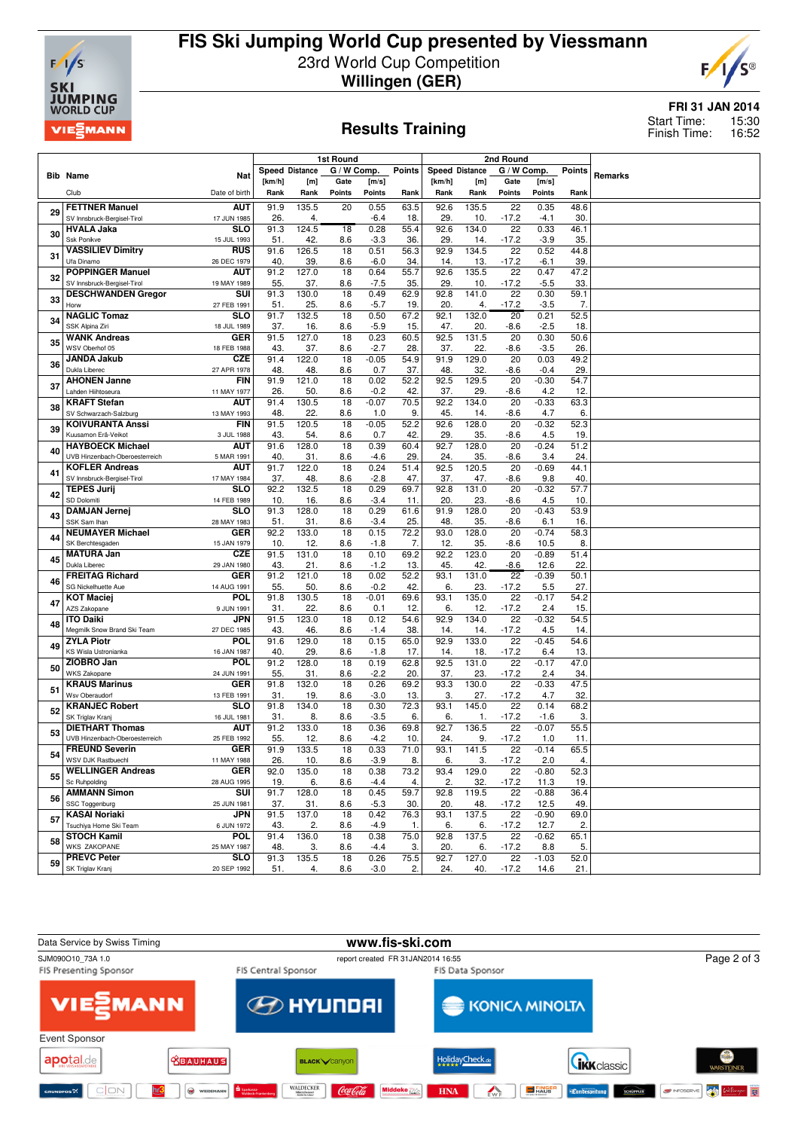

# **FIS Ski Jumping World Cup presented by Viessmann** 23rd World Cup Competition **Willingen (GER)**



### **Results Training**

### **FRI 31 JAN 2014**

15:30 16:52 Start Time: Finish Time:

|    |                                                         | 1st Round<br>2nd Round    |             |                       |                        |                |             |                       |              |                            |                 |             |         |
|----|---------------------------------------------------------|---------------------------|-------------|-----------------------|------------------------|----------------|-------------|-----------------------|--------------|----------------------------|-----------------|-------------|---------|
|    | <b>Bib Name</b>                                         | Nat                       |             | <b>Speed Distance</b> | G / W Comp.            |                | Points      | <b>Speed Distance</b> |              | G / W Comp.                |                 | Points      | Remarks |
|    |                                                         |                           | [km/h]      | [m]                   | Gate                   | [m/s]          |             | [km/h]                | [m]          | Gate                       | [m/s]           |             |         |
|    | Club                                                    | Date of birth             | Rank        | Rank                  | <b>Points</b>          | <b>Points</b>  | Rank        | Rank                  | Rank         | Points                     | <b>Points</b>   | Rank        |         |
| 29 | <b>FETTNER Manuel</b>                                   | <b>AUT</b>                | 91.9        | 135.5                 | 20                     | 0.55           | 63.5        | 92.6                  | 135.5        | 22                         | 0.35            | 48.6        |         |
|    | SV Innsbruck-Bergisel-Tirol                             | 17 JUN 1985               | 26          | 4.                    |                        | $-6.4$         | 18          | 29                    | 10.          | $-17.2$                    | -4.1            | 30          |         |
| 30 | <b>HVALA Jaka</b>                                       | <b>SLO</b>                | 91.3        | 124.5                 | $\overline{18}$        | 0.28           | 55.4        | 92.6                  | 134.0        | 22                         | 0.33            | 46.1        |         |
|    | Ssk Ponikve                                             | 15 JUL 1993               | 51          | 42.                   | 8.6                    | $-3.3$         | 36          | 29                    | 14.          | $-17.2$                    | $-3.9$          | 35          |         |
| 31 | <b>VASSILIEV Dimitry</b><br>Ufa Dinamo                  | <b>RUS</b><br>26 DEC 1979 | 91.6<br>40. | 126.5<br>39.          | $\overline{18}$<br>8.6 | 0.51<br>$-6.0$ | 56.3<br>34. | 92.9<br>14.           | 134.5<br>13. | $\overline{22}$<br>$-17.2$ | 0.52<br>$-6.1$  | 44.8<br>39  |         |
|    | <b>POPPINGER Manuel</b>                                 | <b>AUT</b>                | 91.2        | 127.0                 | 18                     | 0.64           | 55.7        | 92.6                  | 135.5        | 22                         | 0.47            | 47.2        |         |
| 32 | SV Innsbruck-Bergisel-Tirol                             | 19 MAY 1989               | 55.         | 37.                   | 8.6                    | $-7.5$         | 35.         | 29                    | 10.          | $-17.2$                    | $-5.5$          | 33.         |         |
|    | <b>DESCHWANDEN Gregor</b>                               | $\overline{\text{su}}$    | 91.3        | 130.0                 | 18                     | 0.49           | 62.9        | 92.8                  | 141.0        | 22                         | 0.30            | 59.1        |         |
| 33 | Horw                                                    | 27 FEB 1991               | 51.         | 25.                   | 8.6                    | $-5.7$         | 19.         | 20.                   | 4.           | $-17.2$                    | $-3.5$          | 7.          |         |
| 34 | <b>NAGLIC Tomaz</b>                                     | SLO                       | 91.7        | 132.5                 | 18                     | 0.50           | 67.2        | 92.1                  | 132.0        | 20                         | 0.21            | 52.5        |         |
|    | SSK Alpina Ziri                                         | 18 JUL 1989               | 37.         | 16.                   | 8.6                    | $-5.9$         | 15          | 47.<br>92.5           | 20.          | $-8.6$                     | $-2.5$<br>0.30  | 18          |         |
| 35 | <b>WANK Andreas</b><br>WSV Oberhof 05                   | <b>GER</b><br>18 FEB 1988 | 91.5<br>43. | 127.0<br>37.          | 18<br>8.6              | 0.23<br>$-2.7$ | 60.5<br>28  | 37.                   | 131.5<br>22. | 20<br>$-8.6$               | $-3.5$          | 50.6<br>26. |         |
|    | <b>JANDA Jakub</b>                                      | <b>CZE</b>                | 91.4        | 122.0                 | 18                     | $-0.05$        | 54.9        | 91.9                  | 129.0        | 20                         | 0.03            | 49.2        |         |
| 36 | Dukla Liberec                                           | 27 APR 1978               | 48          | 48.                   | 8.6                    | 0.7            | 37          | 48                    | 32.          | $-8.6$                     | $-0.4$          | 29          |         |
| 37 | <b>AHONEN Janne</b>                                     | <b>FIN</b>                | 91.9        | 121.0                 | 18                     | 0.02           | 52.2        | 92.5                  | 129.5        | 20                         | $-0.30$         | 54.7        |         |
|    | Lahden Hiihtoseura                                      | 11 MAY 1977               | 26.         | 50.                   | 8.6                    | $-0.2$         | 42.         | 37.                   | 29.          | $-8.6$                     | 4.2             | 12          |         |
| 38 | <b>KRAFT Stefan</b>                                     | AUT                       | 91.4        | 130.5                 | 18                     | $-0.07$        | 70.5        | 92.2                  | 134.0        | 20                         | $-0.33$         | 63.3        |         |
|    | SV Schwarzach-Salzburg<br><b>KOIVURANTA Anssi</b>       | 13 MAY 1993<br><b>FIN</b> | 48.<br>91.5 | 22.<br>120.5          | 8.6<br>18              | 1.0<br>$-0.05$ | 9.<br>52.2  | 45.<br>92.6           | 14.<br>128.0 | $-8.6$<br>20               | 4.7<br>$-0.32$  | 6.<br>52.3  |         |
| 39 | Kuusamon Erä-Veikot                                     | 3 JUL 1988                | 43.         | 54.                   | 8.6                    | 0.7            | 42          | 29                    | 35.          | -8.6                       | 4.5             | 19          |         |
|    | <b>HAYBOECK Michael</b>                                 | aut                       | 91.6        | 128.0                 | 18                     | 0.39           | 60.4        | 92.7                  | 128.0        | 20                         | $-0.24$         | 51.2        |         |
| 40 | UVB Hinzenbach-Oberoesterreich                          | 5 MAR 1991                | 40.         | 31                    | 8.6                    | $-4.6$         | 29          | 24.                   | 35.          | $-8.6$                     | 3.4             | 24.         |         |
| 41 | <b>KOFLER Andreas</b>                                   | <b>AUT</b>                | 91.7        | 122.0                 | 18                     | 0.24           | 51.4        | 92.5                  | 120.5        | 20                         | $-0.69$         | 44.1        |         |
|    | SV Innsbruck-Bergisel-Tirol                             | 17 MAY 1984               | 37.         | 48.                   | 8.6                    | $-2.8$         | 47.         | 37.                   | 47.          | $-8.6$                     | 9.8             | 40          |         |
| 42 | <b>TEPES Jurij</b>                                      | SLO                       | 92.2        | 132.5                 | 18                     | 0.29           | 69.7        | 92.8                  | 131.0        | 20                         | $-0.32$         | 57.7        |         |
|    | SD Dolomiti<br><b>DAMJAN Jernej</b>                     | 14 FEB 1989<br><b>SLO</b> | 10.<br>91.3 | 16.<br>128.0          | 8.6<br>$\overline{18}$ | $-3.4$<br>0.29 | 11.<br>61.6 | 20.<br>91.9           | 23.<br>128.0 | $-8.6$<br>20               | 4.5<br>$-0.43$  | 10.<br>53.9 |         |
| 43 | SSK Sam Ihan                                            | 28 MAY 1983               | 51          | 31                    | 8.6                    | $-3.4$         | 25.         | 48                    | 35.          | $-8.6$                     | 6.1             | 16          |         |
|    | <b>NEUMAYER Michael</b>                                 | <b>GER</b>                | 92.2        | 133.0                 | 18                     | 0.15           | 72.2        | 93.0                  | 128.0        | 20                         | $-0.74$         | 58.3        |         |
| 44 | SK Berchtesgaden                                        | 15 JAN 1979               | 10.         | 12.                   | 8.6                    | $-1.8$         | 7.          | 12.                   | 35.          | $-8.6$                     | 10.5            | 8.          |         |
| 45 | <b>MATURA Jan</b>                                       | <b>CZE</b>                | 91.5        | 131.0                 | 18                     | 0.10           | 69.2        | 92.2                  | 123.0        | 20                         | $-0.89$         | 51.4        |         |
|    | Dukla Liberec                                           | 29 JAN 1980               | 43.         | 21                    | 8.6                    | $-1.2$         | 13.         | 45.                   | 42.          | $-8.6$                     | 12.6            | 22.         |         |
| 46 | <b>FREITAG Richard</b><br>SG Nickelhuette Aue           | <b>GER</b><br>14 AUG 1991 | 91.2<br>55. | 121.0<br>50.          | 18<br>8.6              | 0.02<br>$-0.2$ | 52.2<br>42  | 93.1<br>6.            | 131.0<br>23. | 22<br>$-17.2$              | $-0.39$<br>5.5  | 50.1<br>27. |         |
|    | <b>KOT Maciej</b>                                       | <b>POL</b>                | 91.8        | 130.5                 | 18                     | $-0.01$        | 69.6        | 93.1                  | 135.0        | 22                         | $-0.17$         | 54.2        |         |
| 47 | AZS Zakopane                                            | 9 JUN 1991                | 31          | 22                    | 8.6                    | 0.1            | 12          | 6.                    | 12.          | $-17.2$                    | 2.4             | 15.         |         |
|    | <b>ITO Daiki</b>                                        | JPN                       | 91.5        | 123.0                 | 18                     | 0.12           | 54.6        | 92.9                  | 134.0        | 22                         | $-0.32$         | 54.5        |         |
| 48 | Megmilk Snow Brand Ski Team                             | 27 DEC 1985               | 43.         | 46.                   | 8.6                    | $-1.4$         | 38.         | 14.                   | 14.          | $-17.2$                    | 4.5             | 14          |         |
| 49 | <b>ZYLA Piotr</b>                                       | <b>POL</b>                | 91.6        | 129.0                 | 18                     | 0.15           | 65.0        | 92.9                  | 133.0        | 22                         | $-0.45$         | 54.6        |         |
|    | <b>KS Wisla Ustronianka</b><br>ZIOBRO Jan               | 16 JAN 1987<br>POL        | 40.<br>91.2 | 29.<br>128.0          | 8.6<br>18              | $-1.8$<br>0.19 | 17.<br>62.8 | 14.<br>92.5           | 18.<br>131.0 | $-17.2$<br>22              | 6.4<br>$-0.17$  | 13.<br>47.0 |         |
| 50 | <b>WKS Zakopane</b>                                     | 24 JUN 1991               | 55.         | 31.                   | 8.6                    | $-2.2$         | 20          | 37.                   | 23.          | $-17.2$                    | 2.4             | 34.         |         |
|    | <b>KRAUS Marinus</b>                                    | GER                       | 91.8        | 132.0                 | 18                     | 0.26           | 69.2        | 93.3                  | 130.0        | $\overline{22}$            | $-0.33$         | 47.5        |         |
| 51 | Wsv Oberaudorf                                          | 13 FEB 1991               | 31.         | 19.                   | 8.6                    | $-3.0$         | 13.         | 3.                    | 27.          | $-17.2$                    | 4.7             | 32.         |         |
| 52 | <b>KRANJEC Robert</b>                                   | <b>SLO</b>                | 91.8        | 134.0                 | 18                     | 0.30           | 72.3        | 93.1                  | 145.0        | 22                         | 0.14            | 68.2        |         |
|    | SK Triglav Krani                                        | 16 JUL 1981               | 31          | 8.                    | 8.6                    | $-3.5$         | 6.          | 6.                    | 1.           | $-17.2$                    | $-1.6$          | 3.          |         |
| 53 | <b>DIETHART Thomas</b>                                  | <b>AUT</b>                | 91.2        | 133.0                 | $\overline{18}$        | 0.36           | 69.8        | 92.7                  | 136.5        | $\overline{22}$            | $-0.07$         | 55.5        |         |
|    | UVB Hinzenbach-Oberoesterreich<br><b>FREUND Severin</b> | 25 FEB 1992<br><b>GER</b> | 55.<br>91.9 | 12.<br>133.5          | 8.6<br>18              | $-4.2$<br>0.33 | 10.<br>71.0 | 24.<br>93.1           | 9.<br>141.5  | $-17.2$<br>22              | 1.0<br>$-0.14$  | 11.<br>65.5 |         |
| 54 | WSV DJK Rastbuechl                                      | 11 MAY 1988               | 26.         | 10.                   | 8.6                    | $-3.9$         | 8.          | 6.                    | 3.           | $-17.2$                    | 2.0             | 4.          |         |
|    | <b>WELLINGER Andreas</b>                                | <b>GER</b>                | 92.0        | 135.0                 | 18                     | 0.38           | 73.2        | 93.4                  | 129.0        | 22                         | $-0.80$         | 52.3        |         |
| 55 | Sc Ruhpolding                                           | 28 AUG 1995               | 19.         | 6.                    | 8.6                    | $-4.4$         | 4.          | 2.                    | 32.          | $-17.2$                    | 11.3            | 19.         |         |
| 56 | <b>AMMANN Simon</b>                                     | SUI                       | 91.7        | 128.0                 | 18                     | 0.45           | 59.7        | 92.8                  | 119.5        | 22                         | $-0.88$         | 36.4        |         |
|    | SSC Toggenburg                                          | 25 JUN 1981               | 37.         | 31.                   | 8.6                    | $-5.3$         | 30.         | 20.                   | 48.          | $-17.2$                    | 12.5            | 49.         |         |
| 57 | <b>KASAI Noriaki</b>                                    | <b>JPN</b>                | 91.5        | 137.0                 | 18                     | 0.42           | 76.3        | 93.1                  | 137.5        | 22                         | $-0.90$         | 69.0        |         |
|    | Tsuchiya Home Ski Team<br><b>STOCH Kamil</b>            | 6 JUN 1972<br><b>POL</b>  | 43.<br>91.4 | 2.<br>136.0           | 8.6<br>18              | $-4.9$<br>0.38 | 1.<br>75.0  | 6.<br>92.8            | 6.<br>137.5  | $-17.2$<br>22              | 12.7<br>$-0.62$ | 2.<br>65.1  |         |
| 58 | <b>WKS ZAKOPANE</b>                                     | 25 MAY 1987               | 48.         | 3.                    | 8.6                    | -4.4           | 3.          | 20.                   | 6.           | $-17.2$                    | 8.8             | 5.          |         |
|    | <b>PREVC Peter</b>                                      | <b>SLO</b>                | 91.3        | 135.5                 | 18                     | 0.26           | 75.5        | 92.7                  | 127.0        | 22                         | $-1.03$         | 52.0        |         |
| 59 | SK Triglav Kranj                                        | 20 SEP 1992               | 51.         | 4.                    | 8.6                    | $-3.0$         | 2.          | 24.                   | 40.          | $-17.2$                    | 14.6            | 21.         |         |